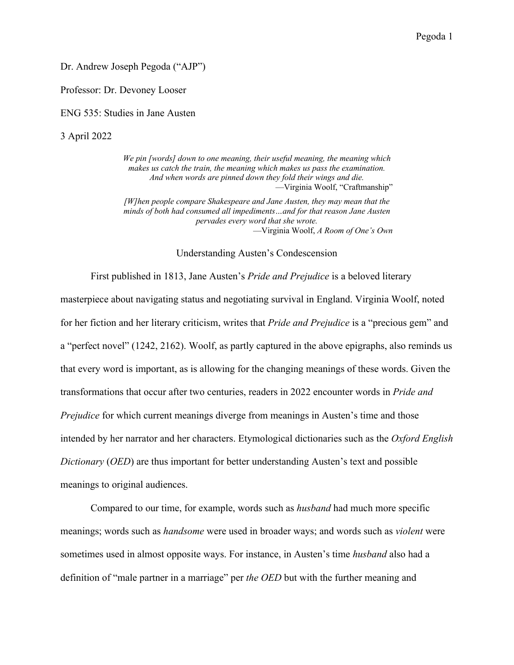Dr. Andrew Joseph Pegoda ("AJP")

Professor: Dr. Devoney Looser

ENG 535: Studies in Jane Austen

3 April 2022

*We pin [words] down to one meaning, their useful meaning, the meaning which makes us catch the train, the meaning which makes us pass the examination. And when words are pinned down they fold their wings and die.* —Virginia Woolf, "Craftmanship" *[W]hen people compare Shakespeare and Jane Austen, they may mean that the minds of both had consumed all impediments…and for that reason Jane Austen pervades every word that she wrote.* —Virginia Woolf, *A Room of One's Own*

Understanding Austen's Condescension

First published in 1813, Jane Austen's *Pride and Prejudice* is a beloved literary masterpiece about navigating status and negotiating survival in England. Virginia Woolf, noted for her fiction and her literary criticism, writes that *Pride and Prejudice* is a "precious gem" and a "perfect novel" (1242, 2162). Woolf, as partly captured in the above epigraphs, also reminds us that every word is important, as is allowing for the changing meanings of these words. Given the transformations that occur after two centuries, readers in 2022 encounter words in *Pride and Prejudice* for which current meanings diverge from meanings in Austen's time and those intended by her narrator and her characters. Etymological dictionaries such as the *Oxford English Dictionary* (*OED*) are thus important for better understanding Austen's text and possible meanings to original audiences.

Compared to our time, for example, words such as *husband* had much more specific meanings; words such as *handsome* were used in broader ways; and words such as *violent* were sometimes used in almost opposite ways. For instance, in Austen's time *husband* also had a definition of "male partner in a marriage" per *the OED* but with the further meaning and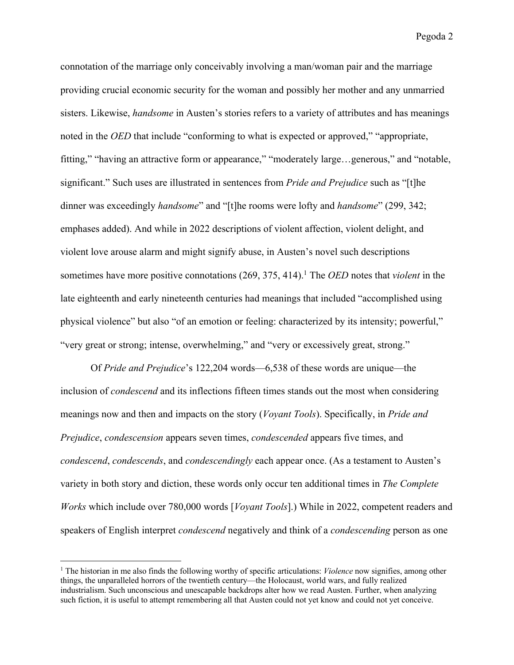connotation of the marriage only conceivably involving a man/woman pair and the marriage providing crucial economic security for the woman and possibly her mother and any unmarried sisters. Likewise, *handsome* in Austen's stories refers to a variety of attributes and has meanings noted in the *OED* that include "conforming to what is expected or approved," "appropriate, fitting," "having an attractive form or appearance," "moderately large…generous," and "notable, significant." Such uses are illustrated in sentences from *Pride and Prejudice* such as "[t]he dinner was exceedingly *handsome*" and "[t]he rooms were lofty and *handsome*" (299, 342; emphases added). And while in 2022 descriptions of violent affection, violent delight, and violent love arouse alarm and might signify abuse, in Austen's novel such descriptions sometimes have more positive connotations (269, 375, 414). <sup>1</sup> The *OED* notes that *violent* in the late eighteenth and early nineteenth centuries had meanings that included "accomplished using physical violence" but also "of an emotion or feeling: characterized by its intensity; powerful," "very great or strong; intense, overwhelming," and "very or excessively great, strong."

Of *Pride and Prejudice*'s 122,204 words—6,538 of these words are unique—the inclusion of *condescend* and its inflections fifteen times stands out the most when considering meanings now and then and impacts on the story (*Voyant Tools*). Specifically, in *Pride and Prejudice*, *condescension* appears seven times, *condescended* appears five times, and *condescend*, *condescends*, and *condescendingly* each appear once. (As a testament to Austen's variety in both story and diction, these words only occur ten additional times in *The Complete Works* which include over 780,000 words [*Voyant Tools*].) While in 2022, competent readers and speakers of English interpret *condescend* negatively and think of a *condescending* person as one

<sup>1</sup> The historian in me also finds the following worthy of specific articulations: *Violence* now signifies, among other things, the unparalleled horrors of the twentieth century—the Holocaust, world wars, and fully realized industrialism. Such unconscious and unescapable backdrops alter how we read Austen. Further, when analyzing such fiction, it is useful to attempt remembering all that Austen could not yet know and could not yet conceive.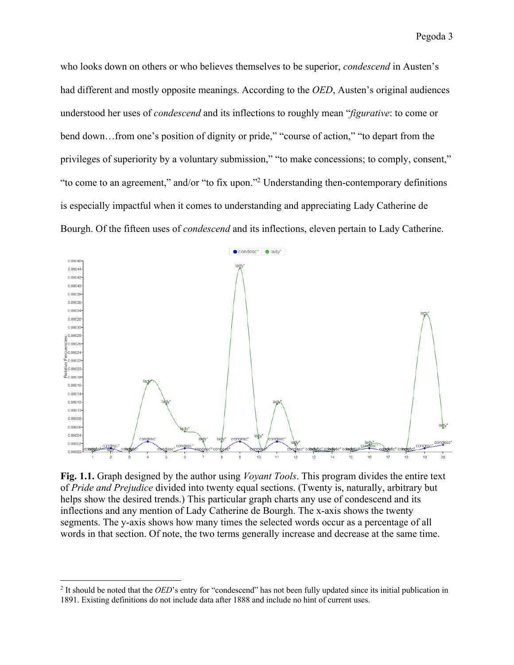who looks down on others or who believes themselves to be superior, *condescend* in Austen's had different and mostly opposite meanings. According to the *OED*, Austen's original audiences understood her uses of *condescend* and its inflections to roughly mean "*figurative*: to come or bend down…from one's position of dignity or pride," "course of action," "to depart from the privileges of superiority by a voluntary submission," "to make concessions; to comply, consent," "to come to an agreement," and/or "to fix upon."2 Understanding then-contemporary definitions is especially impactful when it comes to understanding and appreciating Lady Catherine de Bourgh. Of the fifteen uses of *condescend* and its inflections, eleven pertain to Lady Catherine.



**Fig. 1.1.** Graph designed by the author using *Voyant Tools*. This program divides the entire text of *Pride and Prejudice* divided into twenty equal sections. (Twenty is, naturally, arbitrary but helps show the desired trends.) This particular graph charts any use of condescend and its inflections and any mention of Lady Catherine de Bourgh. The x-axis shows the twenty segments. The y-axis shows how many times the selected words occur as a percentage of all words in that section. Of note, the two terms generally increase and decrease at the same time.

<sup>&</sup>lt;sup>2</sup> It should be noted that the *OED*'s entry for "condescend" has not been fully updated since its initial publication in 1891. Existing definitions do not include data after 1888 and include no hint of current uses.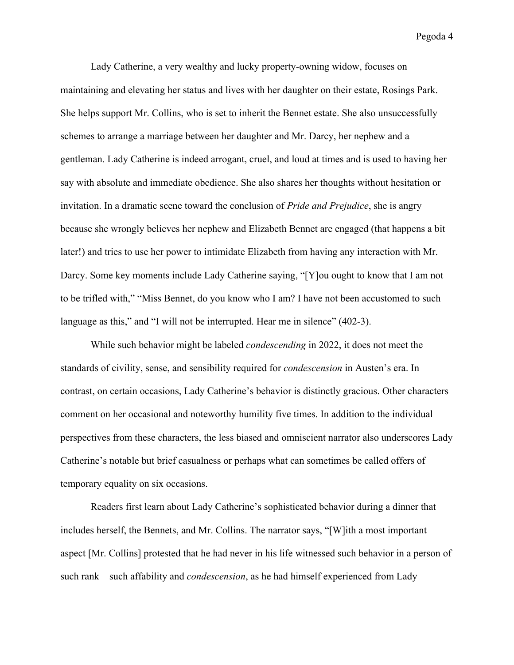Lady Catherine, a very wealthy and lucky property-owning widow, focuses on maintaining and elevating her status and lives with her daughter on their estate, Rosings Park. She helps support Mr. Collins, who is set to inherit the Bennet estate. She also unsuccessfully schemes to arrange a marriage between her daughter and Mr. Darcy, her nephew and a gentleman. Lady Catherine is indeed arrogant, cruel, and loud at times and is used to having her say with absolute and immediate obedience. She also shares her thoughts without hesitation or invitation. In a dramatic scene toward the conclusion of *Pride and Prejudice*, she is angry because she wrongly believes her nephew and Elizabeth Bennet are engaged (that happens a bit later!) and tries to use her power to intimidate Elizabeth from having any interaction with Mr. Darcy. Some key moments include Lady Catherine saying, "[Y]ou ought to know that I am not to be trifled with," "Miss Bennet, do you know who I am? I have not been accustomed to such language as this," and "I will not be interrupted. Hear me in silence" (402-3).

While such behavior might be labeled *condescending* in 2022, it does not meet the standards of civility, sense, and sensibility required for *condescension* in Austen's era. In contrast, on certain occasions, Lady Catherine's behavior is distinctly gracious. Other characters comment on her occasional and noteworthy humility five times. In addition to the individual perspectives from these characters, the less biased and omniscient narrator also underscores Lady Catherine's notable but brief casualness or perhaps what can sometimes be called offers of temporary equality on six occasions.

Readers first learn about Lady Catherine's sophisticated behavior during a dinner that includes herself, the Bennets, and Mr. Collins. The narrator says, "[W]ith a most important aspect [Mr. Collins] protested that he had never in his life witnessed such behavior in a person of such rank—such affability and *condescension*, as he had himself experienced from Lady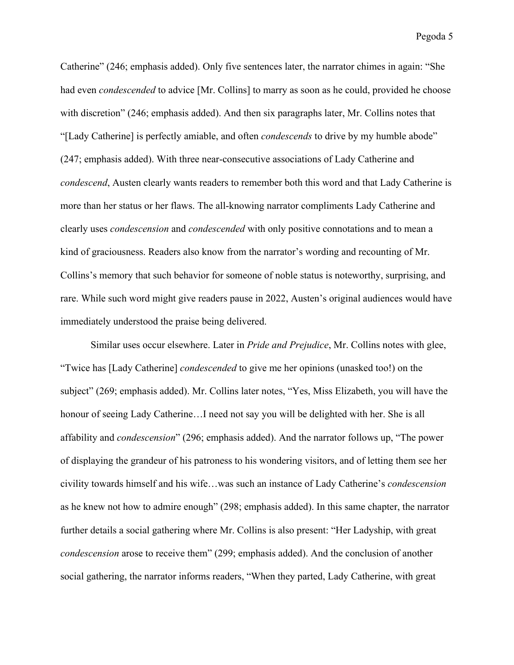Catherine" (246; emphasis added). Only five sentences later, the narrator chimes in again: "She had even *condescended* to advice [Mr. Collins] to marry as soon as he could, provided he choose with discretion" (246; emphasis added). And then six paragraphs later, Mr. Collins notes that "[Lady Catherine] is perfectly amiable, and often *condescends* to drive by my humble abode" (247; emphasis added). With three near-consecutive associations of Lady Catherine and *condescend*, Austen clearly wants readers to remember both this word and that Lady Catherine is more than her status or her flaws. The all-knowing narrator compliments Lady Catherine and clearly uses *condescension* and *condescended* with only positive connotations and to mean a kind of graciousness. Readers also know from the narrator's wording and recounting of Mr. Collins's memory that such behavior for someone of noble status is noteworthy, surprising, and rare. While such word might give readers pause in 2022, Austen's original audiences would have immediately understood the praise being delivered.

Similar uses occur elsewhere. Later in *Pride and Prejudice*, Mr. Collins notes with glee, "Twice has [Lady Catherine] *condescended* to give me her opinions (unasked too!) on the subject" (269; emphasis added). Mr. Collins later notes, "Yes, Miss Elizabeth, you will have the honour of seeing Lady Catherine…I need not say you will be delighted with her. She is all affability and *condescension*" (296; emphasis added). And the narrator follows up, "The power of displaying the grandeur of his patroness to his wondering visitors, and of letting them see her civility towards himself and his wife…was such an instance of Lady Catherine's *condescension* as he knew not how to admire enough" (298; emphasis added). In this same chapter, the narrator further details a social gathering where Mr. Collins is also present: "Her Ladyship, with great *condescension* arose to receive them" (299; emphasis added). And the conclusion of another social gathering, the narrator informs readers, "When they parted, Lady Catherine, with great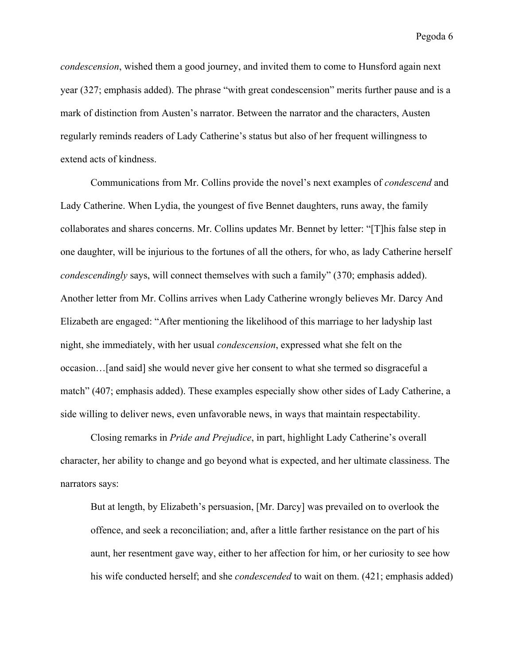*condescension*, wished them a good journey, and invited them to come to Hunsford again next year (327; emphasis added). The phrase "with great condescension" merits further pause and is a mark of distinction from Austen's narrator. Between the narrator and the characters, Austen regularly reminds readers of Lady Catherine's status but also of her frequent willingness to extend acts of kindness.

Communications from Mr. Collins provide the novel's next examples of *condescend* and Lady Catherine. When Lydia, the youngest of five Bennet daughters, runs away, the family collaborates and shares concerns. Mr. Collins updates Mr. Bennet by letter: "[T]his false step in one daughter, will be injurious to the fortunes of all the others, for who, as lady Catherine herself *condescendingly* says, will connect themselves with such a family" (370; emphasis added). Another letter from Mr. Collins arrives when Lady Catherine wrongly believes Mr. Darcy And Elizabeth are engaged: "After mentioning the likelihood of this marriage to her ladyship last night, she immediately, with her usual *condescension*, expressed what she felt on the occasion…[and said] she would never give her consent to what she termed so disgraceful a match" (407; emphasis added). These examples especially show other sides of Lady Catherine, a side willing to deliver news, even unfavorable news, in ways that maintain respectability.

Closing remarks in *Pride and Prejudice*, in part, highlight Lady Catherine's overall character, her ability to change and go beyond what is expected, and her ultimate classiness. The narrators says:

But at length, by Elizabeth's persuasion, [Mr. Darcy] was prevailed on to overlook the offence, and seek a reconciliation; and, after a little farther resistance on the part of his aunt, her resentment gave way, either to her affection for him, or her curiosity to see how his wife conducted herself; and she *condescended* to wait on them. (421; emphasis added)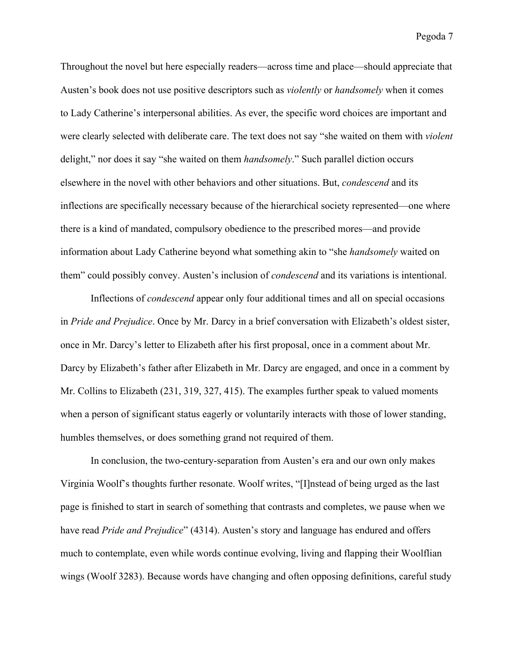Throughout the novel but here especially readers—across time and place—should appreciate that Austen's book does not use positive descriptors such as *violently* or *handsomely* when it comes to Lady Catherine's interpersonal abilities. As ever, the specific word choices are important and were clearly selected with deliberate care. The text does not say "she waited on them with *violent*  delight," nor does it say "she waited on them *handsomely*." Such parallel diction occurs elsewhere in the novel with other behaviors and other situations. But, *condescend* and its inflections are specifically necessary because of the hierarchical society represented—one where there is a kind of mandated, compulsory obedience to the prescribed mores—and provide information about Lady Catherine beyond what something akin to "she *handsomely* waited on them" could possibly convey. Austen's inclusion of *condescend* and its variations is intentional.

Inflections of *condescend* appear only four additional times and all on special occasions in *Pride and Prejudice*. Once by Mr. Darcy in a brief conversation with Elizabeth's oldest sister, once in Mr. Darcy's letter to Elizabeth after his first proposal, once in a comment about Mr. Darcy by Elizabeth's father after Elizabeth in Mr. Darcy are engaged, and once in a comment by Mr. Collins to Elizabeth (231, 319, 327, 415). The examples further speak to valued moments when a person of significant status eagerly or voluntarily interacts with those of lower standing, humbles themselves, or does something grand not required of them.

In conclusion, the two-century-separation from Austen's era and our own only makes Virginia Woolf's thoughts further resonate. Woolf writes, "[I]nstead of being urged as the last page is finished to start in search of something that contrasts and completes, we pause when we have read *Pride and Prejudice*" (4314). Austen's story and language has endured and offers much to contemplate, even while words continue evolving, living and flapping their Woolflian wings (Woolf 3283). Because words have changing and often opposing definitions, careful study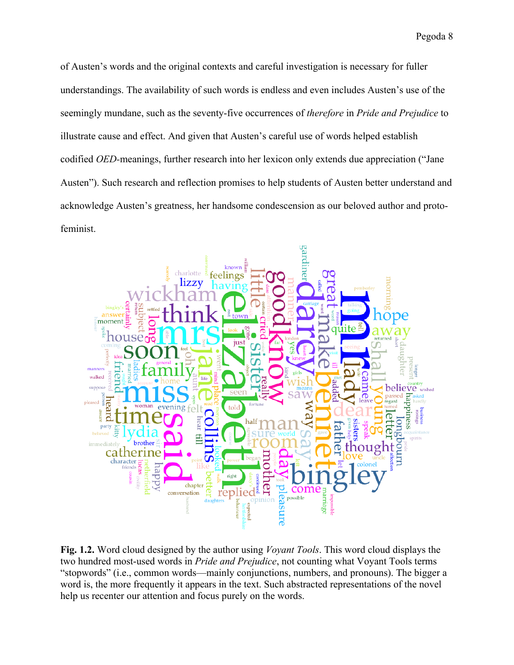of Austen's words and the original contexts and careful investigation is necessary for fuller understandings. The availability of such words is endless and even includes Austen's use of the seemingly mundane, such as the seventy-five occurrences of *therefore* in *Pride and Prejudice* to illustrate cause and effect. And given that Austen's careful use of words helped establish codified *OED-*meanings, further research into her lexicon only extends due appreciation ("Jane Austen"). Such research and reflection promises to help students of Austen better understand and acknowledge Austen's greatness, her handsome condescension as our beloved author and protofeminist.



**Fig. 1.2.** Word cloud designed by the author using *Voyant Tools*. This word cloud displays the two hundred most-used words in *Pride and Prejudice*, not counting what Voyant Tools terms "stopwords" (i.e., common words—mainly conjunctions, numbers, and pronouns). The bigger a word is, the more frequently it appears in the text. Such abstracted representations of the novel help us recenter our attention and focus purely on the words.